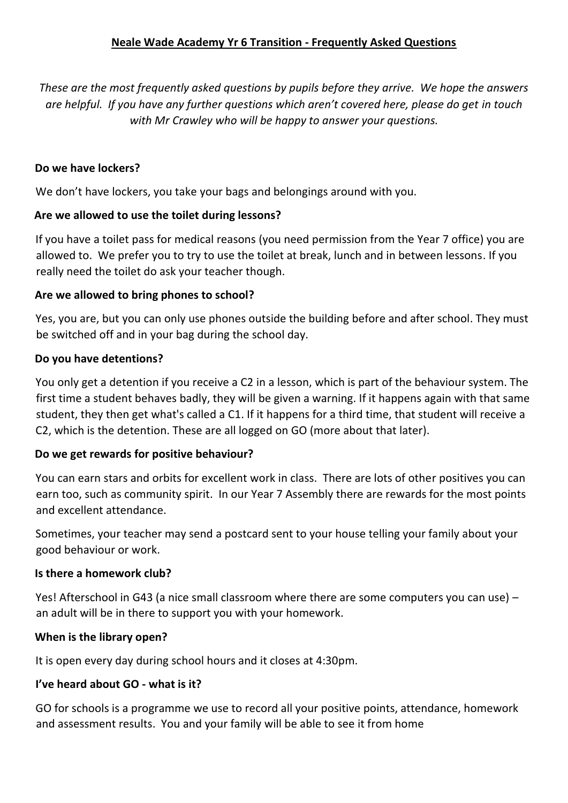*These are the most frequently asked questions by pupils before they arrive. We hope the answers are helpful. If you have any further questions which aren't covered here, please do get in touch with Mr Crawley who will be happy to answer your questions.*

# **Do we have lockers?**

We don't have lockers, you take your bags and belongings around with you.

#### **Are we allowed to use the toilet during lessons?**

If you have a toilet pass for medical reasons (you need permission from the Year 7 office) you are allowed to. We prefer you to try to use the toilet at break, lunch and in between lessons. If you really need the toilet do ask your teacher though.

#### **Are we allowed to bring phones to school?**

Yes, you are, but you can only use phones outside the building before and after school. They must be switched off and in your bag during the school day.

#### **Do you have detentions?**

You only get a detention if you receive a C2 in a lesson, which is part of the behaviour system. The first time a student behaves badly, they will be given a warning. If it happens again with that same student, they then get what's called a C1. If it happens for a third time, that student will receive a C2, which is the detention. These are all logged on GO (more about that later).

#### **Do we get rewards for positive behaviour?**

You can earn stars and orbits for excellent work in class. There are lots of other positives you can earn too, such as community spirit. In our Year 7 Assembly there are rewards for the most points and excellent attendance.

Sometimes, your teacher may send a postcard sent to your house telling your family about your good behaviour or work.

#### **Is there a homework club?**

Yes! Afterschool in G43 (a nice small classroom where there are some computers you can use) – an adult will be in there to support you with your homework.

#### **When is the library open?**

It is open every day during school hours and it closes at 4:30pm.

#### **I've heard about GO - what is it?**

GO for schools is a programme we use to record all your positive points, attendance, homework and assessment results. You and your family will be able to see it from home